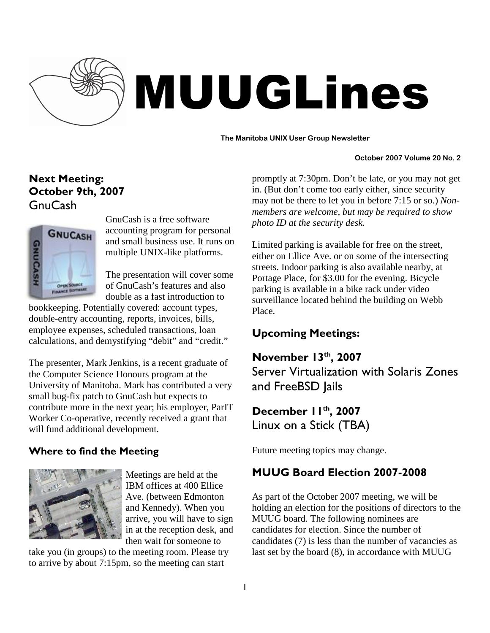

# MUUGLines

#### **The Manitoba UNIX User Group Newsletter**

#### **October 2007 Volume 20 No. 2**

# Next Meeting: October 9th, 2007 GnuCash



GnuCash is a free software accounting program for personal and small business use. It runs on multiple UNIX-like platforms.

The presentation will cover some of GnuCash's features and also double as a fast introduction to

bookkeeping. Potentially covered: account types, double-entry accounting, reports, invoices, bills, employee expenses, scheduled transactions, loan calculations, and demystifying "debit" and "credit."

The presenter, Mark Jenkins, is a recent graduate of the Computer Science Honours program at the University of Manitoba. Mark has contributed a very small bug-fix patch to GnuCash but expects to contribute more in the next year; his employer, ParIT Worker Co-operative, recently received a grant that will fund additional development.

## Where to find the Meeting



Meetings are held at the IBM offices at 400 Ellice Ave. (between Edmonton and Kennedy). When you arrive, you will have to sign in at the reception desk, and then wait for someone to

take you (in groups) to the meeting room. Please try to arrive by about 7:15pm, so the meeting can start

promptly at 7:30pm. Don't be late, or you may not get in. (But don't come too early either, since security may not be there to let you in before 7:15 or so.) *Nonmembers are welcome, but may be required to show photo ID at the security desk.*

Limited parking is available for free on the street, either on Ellice Ave. or on some of the intersecting streets. Indoor parking is also available nearby, at Portage Place, for \$3.00 for the evening. Bicycle parking is available in a bike rack under video surveillance located behind the building on Webb Place.

# Upcoming Meetings:

November 13<sup>th</sup>, 2007 Server Virtualization with Solaris Zones and FreeBSD Jails

December 11th, 2007 Linux on a Stick (TBA)

Future meeting topics may change.

## MUUG Board Election 2007-2008

As part of the October 2007 meeting, we will be holding an election for the positions of directors to the MUUG board. The following nominees are candidates for election. Since the number of candidates (7) is less than the number of vacancies as last set by the board (8), in accordance with MUUG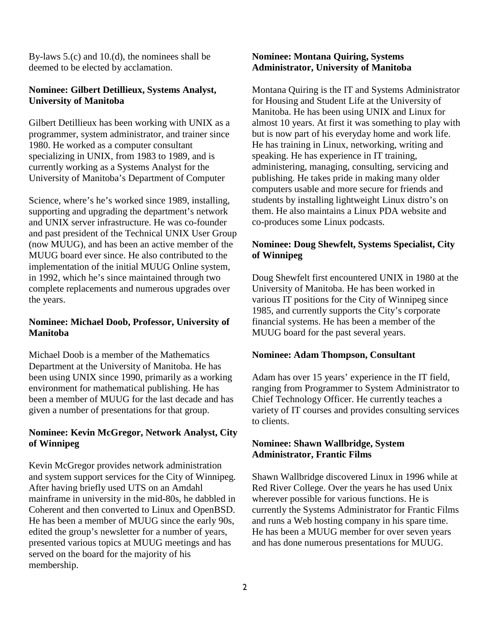By-laws 5.(c) and 10.(d), the nominees shall be deemed to be elected by acclamation.

#### **Nominee: Gilbert Detillieux, Systems Analyst, University of Manitoba**

Gilbert Detillieux has been working with UNIX as a programmer, system administrator, and trainer since 1980. He worked as a computer consultant specializing in UNIX, from 1983 to 1989, and is currently working as a Systems Analyst for the University of Manitoba's Department of Computer

Science, where's he's worked since 1989, installing, supporting and upgrading the department's network and UNIX server infrastructure. He was co-founder and past president of the Technical UNIX User Group (now MUUG), and has been an active member of the MUUG board ever since. He also contributed to the implementation of the initial MUUG Online system, in 1992, which he's since maintained through two complete replacements and numerous upgrades over the years.

#### **Nominee: Michael Doob, Professor, University of Manitoba**

Michael Doob is a member of the Mathematics Department at the University of Manitoba. He has been using UNIX since 1990, primarily as a working environment for mathematical publishing. He has been a member of MUUG for the last decade and has given a number of presentations for that group.

#### **Nominee: Kevin McGregor, Network Analyst, City of Winnipeg**

Kevin McGregor provides network administration and system support services for the City of Winnipeg. After having briefly used UTS on an Amdahl mainframe in university in the mid-80s, he dabbled in Coherent and then converted to Linux and OpenBSD. He has been a member of MUUG since the early 90s, edited the group's newsletter for a number of years, presented various topics at MUUG meetings and has served on the board for the majority of his membership.

#### **Nominee: Montana Quiring, Systems Administrator, University of Manitoba**

Montana Quiring is the IT and Systems Administrator for Housing and Student Life at the University of Manitoba. He has been using UNIX and Linux for almost 10 years. At first it was something to play with but is now part of his everyday home and work life. He has training in Linux, networking, writing and speaking. He has experience in IT training, administering, managing, consulting, servicing and publishing. He takes pride in making many older computers usable and more secure for friends and students by installing lightweight Linux distro's on them. He also maintains a Linux PDA website and co-produces some Linux podcasts.

### **Nominee: Doug Shewfelt, Systems Specialist, City of Winnipeg**

Doug Shewfelt first encountered UNIX in 1980 at the University of Manitoba. He has been worked in various IT positions for the City of Winnipeg since 1985, and currently supports the City's corporate financial systems. He has been a member of the MUUG board for the past several years.

#### **Nominee: Adam Thompson, Consultant**

Adam has over 15 years' experience in the IT field, ranging from Programmer to System Administrator to Chief Technology Officer. He currently teaches a variety of IT courses and provides consulting services to clients.

#### **Nominee: Shawn Wallbridge, System Administrator, Frantic Films**

Shawn Wallbridge discovered Linux in 1996 while at Red River College. Over the years he has used Unix wherever possible for various functions. He is currently the Systems Administrator for Frantic Films and runs a Web hosting company in his spare time. He has been a MUUG member for over seven years and has done numerous presentations for MUUG.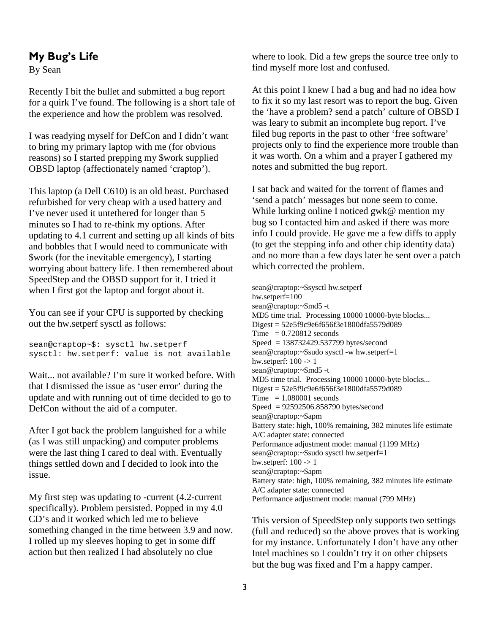## My Bug's Life

By Sean

Recently I bit the bullet and submitted a bug report for a quirk I've found. The following is a short tale of the experience and how the problem was resolved.

I was readying myself for DefCon and I didn't want to bring my primary laptop with me (for obvious reasons) so I started prepping my \$work supplied OBSD laptop (affectionately named 'craptop').

This laptop (a Dell C610) is an old beast. Purchased refurbished for very cheap with a used battery and I've never used it untethered for longer than 5 minutes so I had to re-think my options. After updating to 4.1 current and setting up all kinds of bits and bobbles that I would need to communicate with \$work (for the inevitable emergency), I starting worrying about battery life. I then remembered about SpeedStep and the OBSD support for it. I tried it when I first got the laptop and forgot about it.

You can see if your CPU is supported by checking out the hw.setperf sysctl as follows:

sean@craptop~\$: sysctl hw.setperf sysctl: hw.setperf: value is not available

Wait... not available? I'm sure it worked before. With that I dismissed the issue as 'user error' during the update and with running out of time decided to go to DefCon without the aid of a computer.

After I got back the problem languished for a while (as I was still unpacking) and computer problems were the last thing I cared to deal with. Eventually things settled down and I decided to look into the issue.

My first step was updating to -current (4.2-current specifically). Problem persisted. Popped in my 4.0 CD's and it worked which led me to believe something changed in the time between 3.9 and now. I rolled up my sleeves hoping to get in some diff action but then realized I had absolutely no clue

where to look. Did a few greps the source tree only to find myself more lost and confused.

At this point I knew I had a bug and had no idea how to fix it so my last resort was to report the bug. Given the 'have a problem? send a patch' culture of OBSD I was leary to submit an incomplete bug report. I've filed bug reports in the past to other 'free software' projects only to find the experience more trouble than it was worth. On a whim and a prayer I gathered my notes and submitted the bug report.

I sat back and waited for the torrent of flames and 'send a patch' messages but none seem to come. While lurking online I noticed gwk@ mention my bug so I contacted him and asked if there was more info I could provide. He gave me a few diffs to apply (to get the stepping info and other chip identity data) and no more than a few days later he sent over a patch which corrected the problem.

sean@craptop:~\$sysctl hw.setperf hw.setperf=100 sean@craptop:~\$md5 -t MD5 time trial. Processing 10000 10000-byte blocks... Digest = 52e5f9c9e6f656f3e1800dfa5579d089 Time  $= 0.720812$  seconds Speed = 138732429.537799 bytes/second sean@craptop:~\$sudo sysctl -w hw.setperf=1 hw.setperf: 100 -> 1 sean@craptop:~\$md5 -t MD5 time trial. Processing 10000 10000-byte blocks... Digest = 52e5f9c9e6f656f3e1800dfa5579d089  $Time = 1.080001$  seconds Speed = 92592506.858790 bytes/second sean@craptop:~\$apm Battery state: high, 100% remaining, 382 minutes life estimate A/C adapter state: connected Performance adjustment mode: manual (1199 MHz) sean@craptop:~\$sudo sysctl hw.setperf=1 hw.setperf: 100 -> 1 sean@craptop:~\$apm Battery state: high, 100% remaining, 382 minutes life estimate A/C adapter state: connected Performance adjustment mode: manual (799 MHz)

This version of SpeedStep only supports two settings (full and reduced) so the above proves that is working for my instance. Unfortunately I don't have any other Intel machines so I couldn't try it on other chipsets but the bug was fixed and I'm a happy camper.